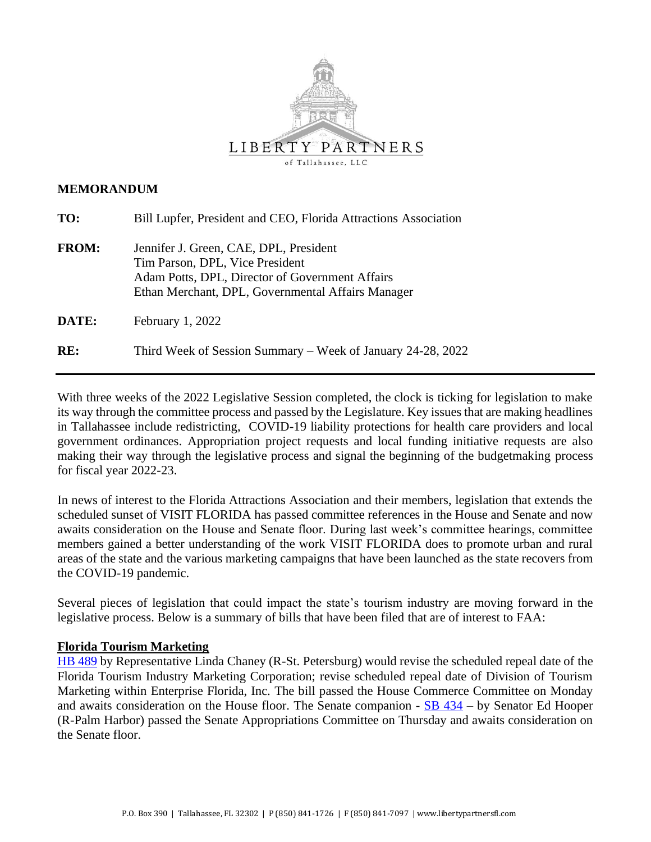

### **MEMORANDUM**

| TO:          | Bill Lupfer, President and CEO, Florida Attractions Association                                                                                                                   |
|--------------|-----------------------------------------------------------------------------------------------------------------------------------------------------------------------------------|
| <b>FROM:</b> | Jennifer J. Green, CAE, DPL, President<br>Tim Parson, DPL, Vice President<br>Adam Potts, DPL, Director of Government Affairs<br>Ethan Merchant, DPL, Governmental Affairs Manager |
| DATE:        | February 1, 2022                                                                                                                                                                  |
| RE:          | Third Week of Session Summary – Week of January 24-28, 2022                                                                                                                       |

With three weeks of the 2022 Legislative Session completed, the clock is ticking for legislation to make its way through the committee process and passed by the Legislature. Key issues that are making headlines in Tallahassee include redistricting, COVID-19 liability protections for health care providers and local government ordinances. Appropriation project requests and local funding initiative requests are also making their way through the legislative process and signal the beginning of the budgetmaking process for fiscal year 2022-23.

In news of interest to the Florida Attractions Association and their members, legislation that extends the scheduled sunset of VISIT FLORIDA has passed committee references in the House and Senate and now awaits consideration on the House and Senate floor. During last week's committee hearings, committee members gained a better understanding of the work VISIT FLORIDA does to promote urban and rural areas of the state and the various marketing campaigns that have been launched as the state recovers from the COVID-19 pandemic.

Several pieces of legislation that could impact the state's tourism industry are moving forward in the legislative process. Below is a summary of bills that have been filed that are of interest to FAA:

#### **Florida Tourism Marketing**

[HB 489](https://www.myfloridahouse.gov/Sections/Bills/billsdetail.aspx?BillId=73966&SessionId=93) by Representative Linda Chaney (R-St. Petersburg) would revise the scheduled repeal date of the Florida Tourism Industry Marketing Corporation; revise scheduled repeal date of Division of Tourism Marketing within Enterprise Florida, Inc. The bill passed the House Commerce Committee on Monday and awaits consideration on the House floor. The Senate companion -  $\overline{SB}$  434 – by Senator Ed Hooper (R-Palm Harbor) passed the Senate Appropriations Committee on Thursday and awaits consideration on the Senate floor.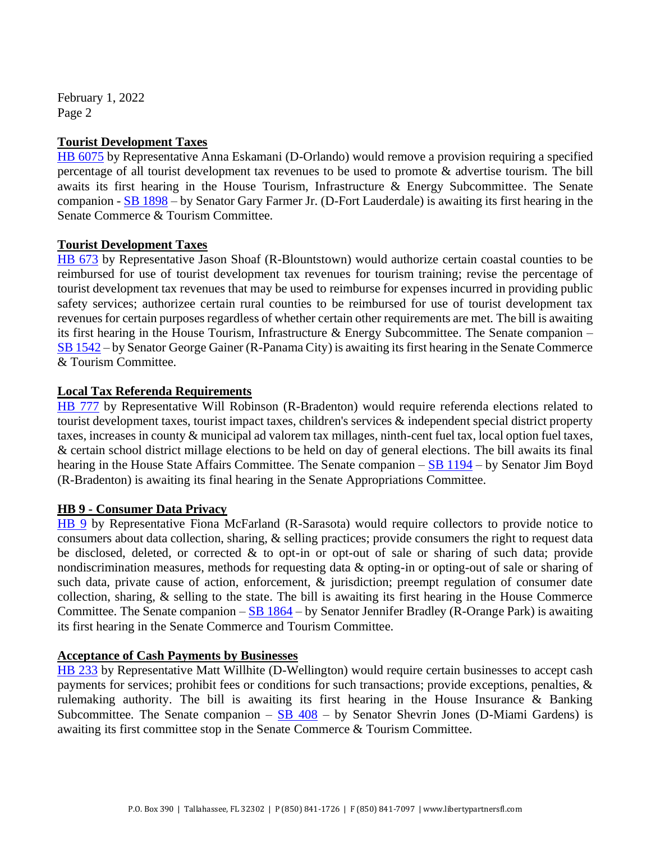February 1, 2022 Page 2

### **Tourist Development Taxes**

[HB 6075](https://www.myfloridahouse.gov/Sections/Bills/billsdetail.aspx?BillId=73902&SessionId=93) by Representative Anna Eskamani (D-Orlando) would remove a provision requiring a specified percentage of all tourist development tax revenues to be used to promote & advertise tourism. The bill awaits its first hearing in the House Tourism, Infrastructure & Energy Subcommittee. The Senate companion - [SB 1898](https://www.flsenate.gov/Session/Bill/2022/1898) – by Senator Gary Farmer Jr. (D-Fort Lauderdale) is awaiting its first hearing in the Senate Commerce & Tourism Committee.

# **Tourist Development Taxes**

[HB 673](https://www.myfloridahouse.gov/Sections/Bills/billsdetail.aspx?BillId=74794&SessionId=93) by Representative Jason Shoaf (R-Blountstown) would authorize certain coastal counties to be reimbursed for use of tourist development tax revenues for tourism training; revise the percentage of tourist development tax revenues that may be used to reimburse for expenses incurred in providing public safety services; authorizee certain rural counties to be reimbursed for use of tourist development tax revenues for certain purposes regardless of whether certain other requirements are met. The bill is awaiting its first hearing in the House Tourism, Infrastructure  $\&$  Energy Subcommittee. The Senate companion – [SB 1542](https://www.flsenate.gov/Session/Bill/2022/1542) – by Senator George Gainer (R-Panama City) is awaiting its first hearing in the Senate Commerce & Tourism Committee.

# **Local Tax Referenda Requirements**

[HB 777](https://www.myfloridahouse.gov/Sections/Bills/billsdetail.aspx?BillId=75205&SessionId=93) by Representative Will Robinson (R-Bradenton) would require referenda elections related to tourist development taxes, tourist impact taxes, children's services & independent special district property taxes, increases in county & municipal ad valorem tax millages, ninth-cent fuel tax, local option fuel taxes, & certain school district millage elections to be held on day of general elections. The bill awaits its final hearing in the House State Affairs Committee. The Senate companion – [SB 1194](https://www.flsenate.gov/Session/Bill/2022/1194) – by Senator Jim Boyd (R-Bradenton) is awaiting its final hearing in the Senate Appropriations Committee.

# **HB 9 - Consumer Data Privacy**

[HB 9](https://www.myfloridahouse.gov/Sections/Bills/billsdetail.aspx?BillId=76556&SessionId=93) by Representative Fiona McFarland (R-Sarasota) would require collectors to provide notice to consumers about data collection, sharing, & selling practices; provide consumers the right to request data be disclosed, deleted, or corrected & to opt-in or opt-out of sale or sharing of such data; provide nondiscrimination measures, methods for requesting data & opting-in or opting-out of sale or sharing of such data, private cause of action, enforcement, & jurisdiction; preempt regulation of consumer date collection, sharing, & selling to the state. The bill is awaiting its first hearing in the House Commerce Committee. The Senate companion  $-SB$  1864 – by Senator Jennifer Bradley (R-Orange Park) is awaiting its first hearing in the Senate Commerce and Tourism Committee.

#### **Acceptance of Cash Payments by Businesses**

[HB 233](https://www.myfloridahouse.gov/Sections/Bills/billsdetail.aspx?BillId=73352&SessionId=93) by Representative Matt Willhite (D-Wellington) would require certain businesses to accept cash payments for services; prohibit fees or conditions for such transactions; provide exceptions, penalties, & rulemaking authority. The bill is awaiting its first hearing in the House Insurance & Banking Subcommittee. The Senate companion –  $SB$  408 – by Senator Shevrin Jones (D-Miami Gardens) is awaiting its first committee stop in the Senate Commerce & Tourism Committee.